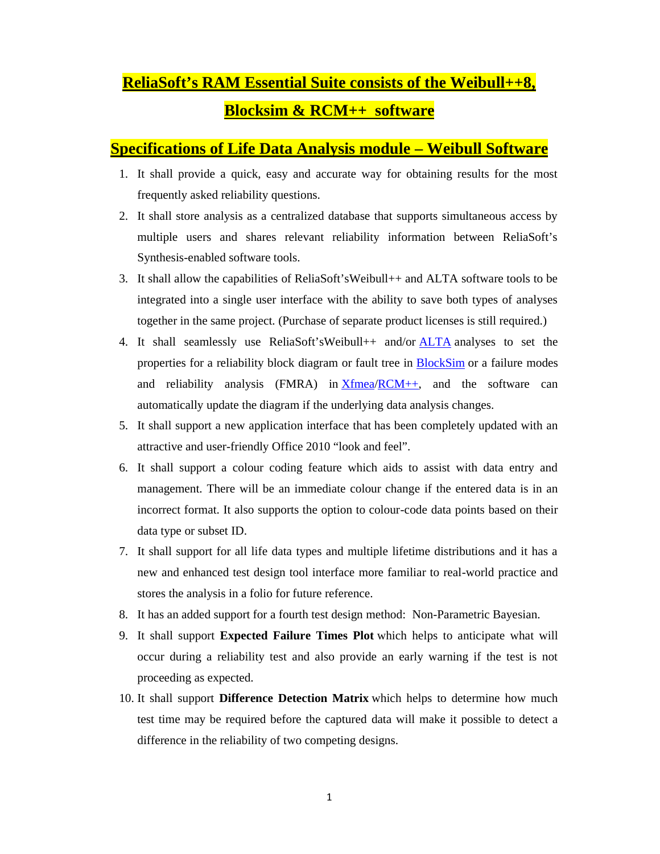# **ReliaSoft's RAM Essential Suite consists of the Weibull++8, Blocksim & RCM++ software**

#### **Specifications of Life Data Analysis module – Weibull Software**

- 1. It shall provide a quick, easy and accurate way for obtaining results for the most frequently asked reliability questions.
- 2. It shall store analysis as a centralized database that supports simultaneous access by multiple users and shares relevant reliability information between ReliaSoft's Synthesis-enabled software tools.
- 3. It shall allow the capabilities of ReliaSoft'sWeibull++ and ALTA software tools to be integrated into a single user interface with the ability to save both types of analyses together in the same project. (Purchase of separate product licenses is still required.)
- 4. It shall seamlessly use ReliaSoft'sWeibull++ and/or **ALTA** analyses to set the properties for a reliability block diagram or fault tree in BlockSim or a failure modes and reliability analysis (FMRA) in Xfmea/RCM++, and the software can automatically update the diagram if the underlying data analysis changes.
- 5. It shall support a new application interface that has been completely updated with an attractive and user-friendly Office 2010 "look and feel".
- 6. It shall support a colour coding feature which aids to assist with data entry and management. There will be an immediate colour change if the entered data is in an incorrect format. It also supports the option to colour-code data points based on their data type or subset ID.
- 7. It shall support for all life data types and multiple lifetime distributions and it has a new and enhanced test design tool interface more familiar to real-world practice and stores the analysis in a folio for future reference.
- 8. It has an added support for a fourth test design method: Non-Parametric Bayesian.
- 9. It shall support **Expected Failure Times Plot** which helps to anticipate what will occur during a reliability test and also provide an early warning if the test is not proceeding as expected.
- 10. It shall support **Difference Detection Matrix** which helps to determine how much test time may be required before the captured data will make it possible to detect a difference in the reliability of two competing designs.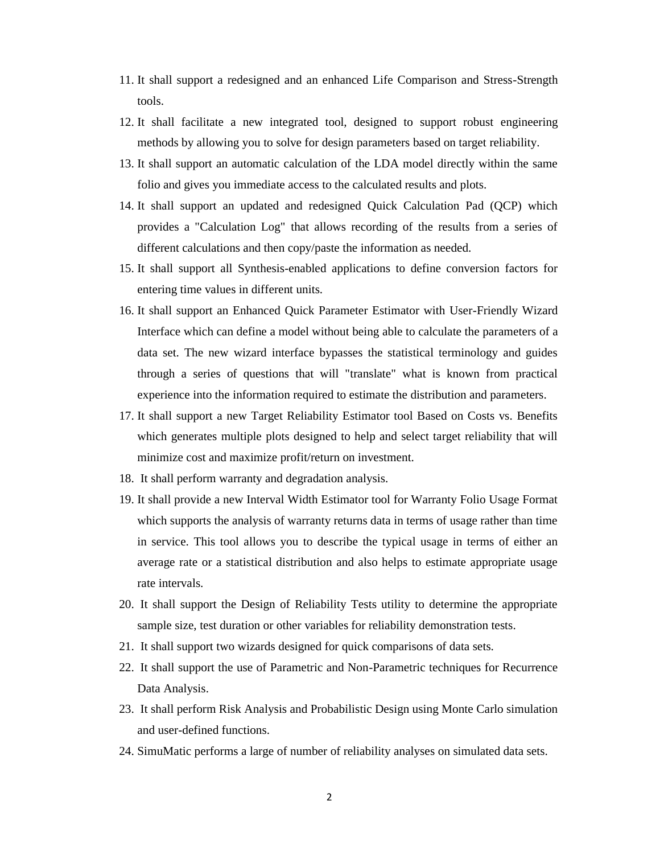- 11. It shall support a redesigned and an enhanced Life Comparison and Stress-Strength tools.
- 12. It shall facilitate a new integrated tool, designed to support robust engineering methods by allowing you to solve for design parameters based on target reliability.
- 13. It shall support an automatic calculation of the LDA model directly within the same folio and gives you immediate access to the calculated results and plots.
- 14. It shall support an updated and redesigned Quick Calculation Pad (QCP) which provides a "Calculation Log" that allows recording of the results from a series of different calculations and then copy/paste the information as needed.
- 15. It shall support all Synthesis-enabled applications to define conversion factors for entering time values in different units.
- 16. It shall support an Enhanced Quick Parameter Estimator with User-Friendly Wizard Interface which can define a model without being able to calculate the parameters of a data set. The new wizard interface bypasses the statistical terminology and guides through a series of questions that will "translate" what is known from practical experience into the information required to estimate the distribution and parameters.
- 17. It shall support a new Target Reliability Estimator tool Based on Costs vs. Benefits which generates multiple plots designed to help and select target reliability that will minimize cost and maximize profit/return on investment.
- 18. It shall perform warranty and degradation analysis.
- 19. It shall provide a new Interval Width Estimator tool for Warranty Folio Usage Format which supports the analysis of warranty returns data in terms of usage rather than time in service. This tool allows you to describe the typical usage in terms of either an average rate or a statistical distribution and also helps to estimate appropriate usage rate intervals.
- 20. It shall support the Design of Reliability Tests utility to determine the appropriate sample size, test duration or other variables for reliability demonstration tests.
- 21. It shall support two wizards designed for quick comparisons of data sets.
- 22. It shall support the use of Parametric and Non-Parametric techniques for Recurrence Data Analysis.
- 23. It shall perform Risk Analysis and Probabilistic Design using Monte Carlo simulation and user-defined functions.
- 24. SimuMatic performs a large of number of reliability analyses on simulated data sets.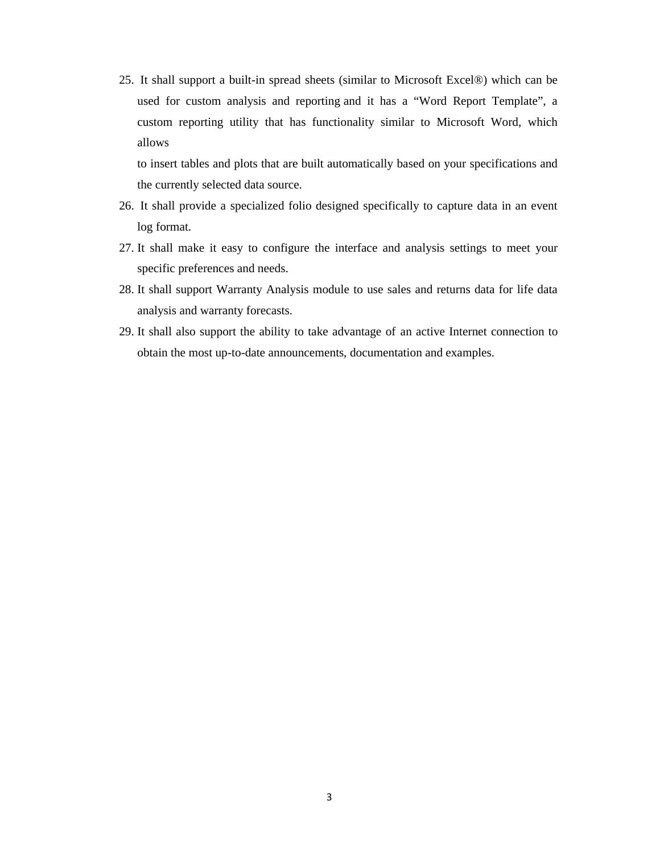25. It shall support a built-in spread sheets (similar to Microsoft Excel®) which can be used for custom analysis and reporting and it has a "Word Report Template", a custom reporting utility that has functionality similar to Microsoft Word, which allows

to insert tables and plots that are built automatically based on your specifications and the currently selected data source.

- 26. It shall provide a specialized folio designed specifically to capture data in an event log format.
- 27. It shall make it easy to configure the interface and analysis settings to meet your specific preferences and needs.
- 28. It shall support Warranty Analysis module to use sales and returns data for life data analysis and warranty forecasts.
- 29. It shall also support the ability to take advantage of an active Internet connection to obtain the most up-to-date announcements, documentation and examples.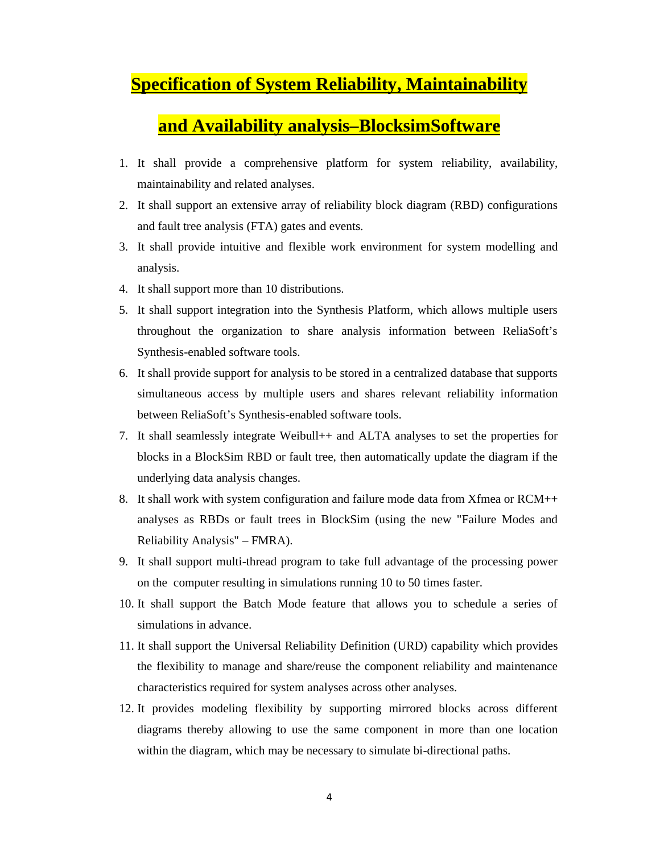## **Specification of System Reliability, Maintainability**

### **and Availability analysis–BlocksimSoftware**

- 1. It shall provide a comprehensive platform for system reliability, availability, maintainability and related analyses.
- 2. It shall support an extensive array of reliability block diagram (RBD) configurations and fault tree analysis (FTA) gates and events.
- 3. It shall provide intuitive and flexible work environment for system modelling and analysis.
- 4. It shall support more than 10 distributions.
- 5. It shall support integration into the Synthesis Platform, which allows multiple users throughout the organization to share analysis information between ReliaSoft's Synthesis-enabled software tools.
- 6. It shall provide support for analysis to be stored in a centralized database that supports simultaneous access by multiple users and shares relevant reliability information between ReliaSoft's Synthesis-enabled software tools.
- 7. It shall seamlessly integrate Weibull++ and ALTA analyses to set the properties for blocks in a BlockSim RBD or fault tree, then automatically update the diagram if the underlying data analysis changes.
- 8. It shall work with system configuration and failure mode data from Xfmea or RCM++ analyses as RBDs or fault trees in BlockSim (using the new "Failure Modes and Reliability Analysis" – FMRA).
- 9. It shall support multi-thread program to take full advantage of the processing power on the computer resulting in simulations running 10 to 50 times faster.
- 10. It shall support the Batch Mode feature that allows you to schedule a series of simulations in advance.
- 11. It shall support the Universal Reliability Definition (URD) capability which provides the flexibility to manage and share/reuse the component reliability and maintenance characteristics required for system analyses across other analyses.
- 12. It provides modeling flexibility by supporting mirrored blocks across different diagrams thereby allowing to use the same component in more than one location within the diagram, which may be necessary to simulate bi-directional paths.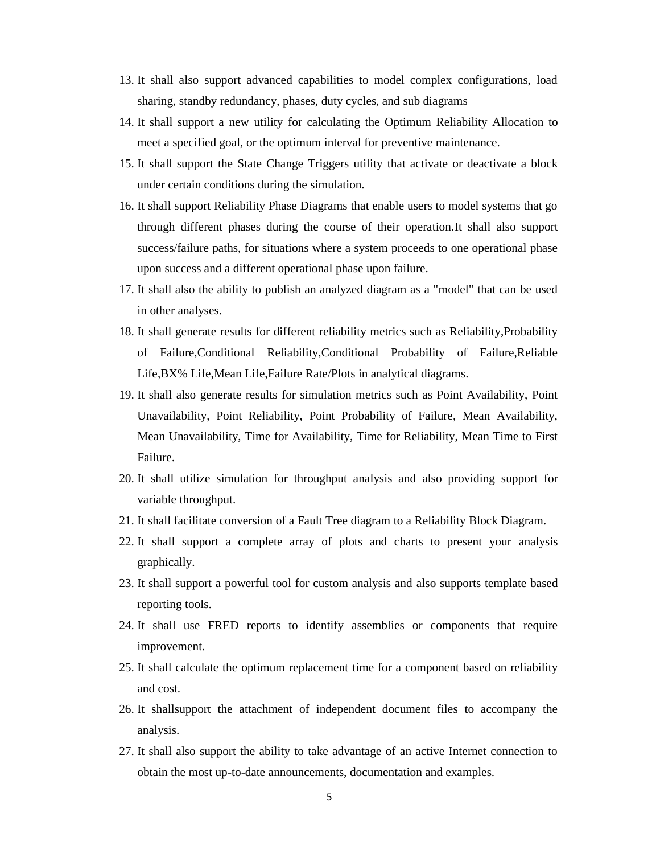- 13. It shall also support advanced capabilities to model complex configurations, load sharing, standby redundancy, phases, duty cycles, and sub diagrams
- 14. It shall support a new utility for calculating the Optimum Reliability Allocation to meet a specified goal, or the optimum interval for preventive maintenance.
- 15. It shall support the State Change Triggers utility that activate or deactivate a block under certain conditions during the simulation.
- 16. It shall support Reliability Phase Diagrams that enable users to model systems that go through different phases during the course of their operation.It shall also support success/failure paths, for situations where a system proceeds to one operational phase upon success and a different operational phase upon failure.
- 17. It shall also the ability to publish an analyzed diagram as a "model" that can be used in other analyses.
- 18. It shall generate results for different reliability metrics such as Reliability,Probability of Failure,Conditional Reliability,Conditional Probability of Failure,Reliable Life,BX% Life,Mean Life,Failure Rate/Plots in analytical diagrams.
- 19. It shall also generate results for simulation metrics such as Point Availability, Point Unavailability, Point Reliability, Point Probability of Failure, Mean Availability, Mean Unavailability, Time for Availability, Time for Reliability, Mean Time to First Failure.
- 20. It shall utilize simulation for throughput analysis and also providing support for variable throughput.
- 21. It shall facilitate conversion of a Fault Tree diagram to a Reliability Block Diagram.
- 22. It shall support a complete array of plots and charts to present your analysis graphically.
- 23. It shall support a powerful tool for custom analysis and also supports template based reporting tools.
- 24. It shall use FRED reports to identify assemblies or components that require improvement.
- 25. It shall calculate the optimum replacement time for a component based on reliability and cost.
- 26. It shallsupport the attachment of independent document files to accompany the analysis.
- 27. It shall also support the ability to take advantage of an active Internet connection to obtain the most up-to-date announcements, documentation and examples.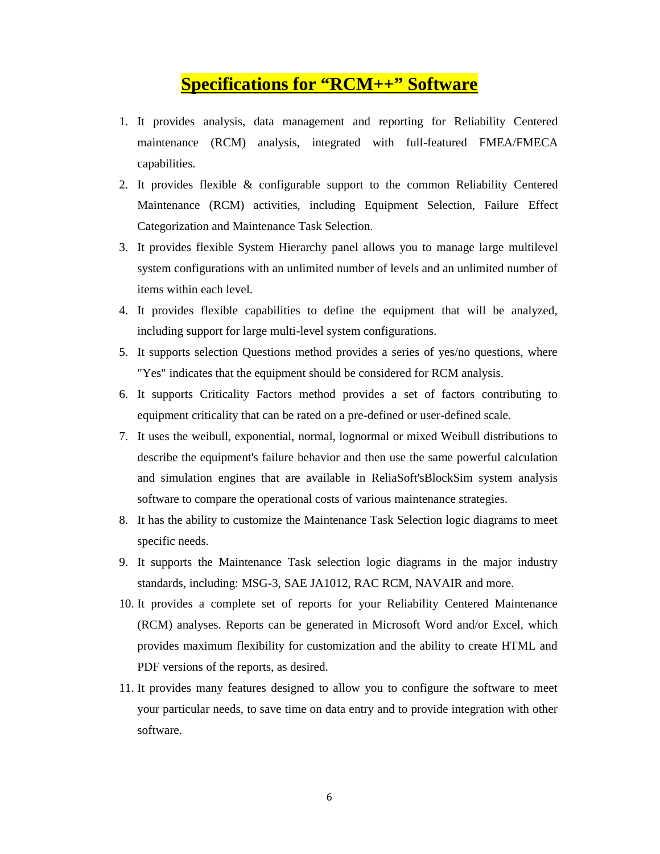### **Specifications for "RCM++" Software**

- 1. It provides analysis, data management and reporting for Reliability Centered maintenance (RCM) analysis, integrated with full-featured FMEA/FMECA capabilities.
- 2. It provides flexible & configurable support to the common Reliability Centered Maintenance (RCM) activities, including Equipment Selection, Failure Effect Categorization and Maintenance Task Selection.
- 3. It provides flexible System Hierarchy panel allows you to manage large multilevel system configurations with an unlimited number of levels and an unlimited number of items within each level.
- 4. It provides flexible capabilities to define the equipment that will be analyzed, including support for large multi-level system configurations.
- 5. It supports selection Questions method provides a series of yes/no questions, where "Yes" indicates that the equipment should be considered for RCM analysis.
- 6. It supports Criticality Factors method provides a set of factors contributing to equipment criticality that can be rated on a pre-defined or user-defined scale.
- 7. It uses the weibull, exponential, normal, lognormal or mixed Weibull distributions to describe the equipment's failure behavior and then use the same powerful calculation and simulation engines that are available in ReliaSoft'sBlockSim system analysis software to compare the operational costs of various maintenance strategies.
- 8. It has the ability to customize the Maintenance Task Selection logic diagrams to meet specific needs.
- 9. It supports the Maintenance Task selection logic diagrams in the major industry standards, including: MSG-3, SAE JA1012, RAC RCM, NAVAIR and more.
- 10. It provides a complete set of reports for your Reliability Centered Maintenance (RCM) analyses. Reports can be generated in Microsoft Word and/or Excel, which provides maximum flexibility for customization and the ability to create HTML and PDF versions of the reports, as desired.
- 11. It provides many features designed to allow you to configure the software to meet your particular needs, to save time on data entry and to provide integration with other software.